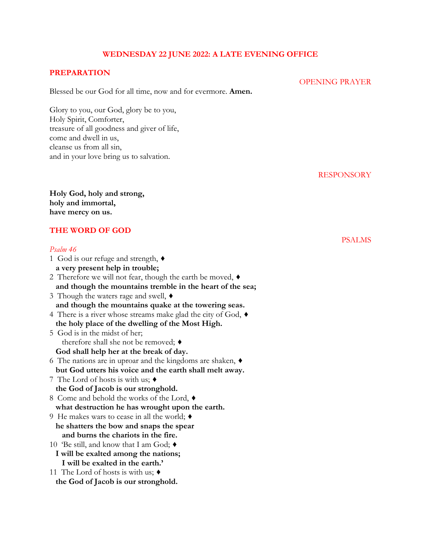# **WEDNESDAY 22 JUNE 2022: A LATE EVENING OFFICE**

## **PREPARATION**

Blessed be our God for all time, now and for evermore. **Amen.** 

Glory to you, our God, glory be to you, Holy Spirit, Comforter, treasure of all goodness and giver of life, come and dwell in us, cleanse us from all sin, and in your love bring us to salvation.

RESPONSORY

PSALMS

OPENING PRAYER

**Holy God, holy and strong, holy and immortal, have mercy on us.**

# **THE WORD OF GOD**

# *Psalm 46* 1 God is our refuge and strength,  $\triangleleft$  **a very present help in trouble;** 2 Therefore we will not fear, though the earth be moved, ♦︎  **and though the mountains tremble in the heart of the sea;** 3 Though the waters rage and swell, ♦︎  **and though the mountains quake at the towering seas.** 4 There is a river whose streams make glad the city of God, ♦︎  **the holy place of the dwelling of the Most High.** 5 God is in the midst of her; therefore shall she not be removed; ♦︎  **God shall help her at the break of day.** 6 The nations are in uproar and the kingdoms are shaken, ♦︎  **but God utters his voice and the earth shall melt away.** 7 The Lord of hosts is with us; ♦︎  **the God of Jacob is our stronghold.** 8 Come and behold the works of the Lord,  $\blacklozenge$  **what destruction he has wrought upon the earth.** 9 He makes wars to cease in all the world; ♦︎  **he shatters the bow and snaps the spear and burns the chariots in the fire.** 10 'Be still, and know that I am God; ♦︎  **I will be exalted among the nations; I will be exalted in the earth.'** 11 The Lord of hosts is with us; ♦︎  **the God of Jacob is our stronghold.**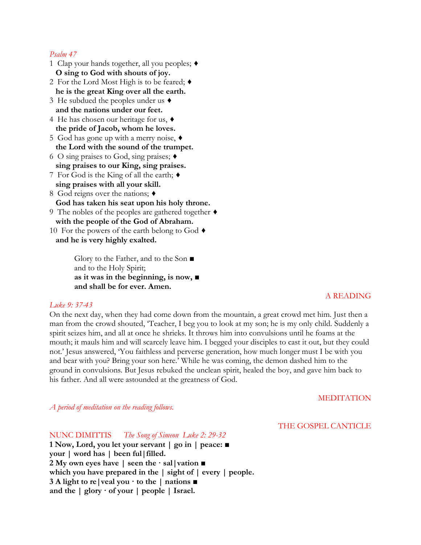### *Psalm 47*

- 1 Clap your hands together, all you peoples; ♦︎  **O sing to God with shouts of joy.**
- 2 For the Lord Most High is to be feared; ♦︎  **he is the great King over all the earth.**
- 3 He subdued the peoples under us ♦︎  **and the nations under our feet.**
- 4 He has chosen our heritage for us, ♦︎  **the pride of Jacob, whom he loves.**
- 5 God has gone up with a merry noise, ♦︎  **the Lord with the sound of the trumpet.**
- 6 O sing praises to God, sing praises; ♦︎  **sing praises to our King, sing praises.**
- 7 For God is the King of all the earth; ♦︎  **sing praises with all your skill.**
- 8 God reigns over the nations;  $\triangleleft$  **God has taken his seat upon his holy throne.**
- 9 The nobles of the peoples are gathered together ♦︎  **with the people of the God of Abraham.**
- 10 For the powers of the earth belong to God ♦︎  **and he is very highly exalted.**

Glory to the Father, and to the Son ■ and to the Holy Spirit; **as it was in the beginning, is now, ■ and shall be for ever. Amen.**

### *Luke 9: 37-43*

On the next day, when they had come down from the mountain, a great crowd met him. Just then a man from the crowd shouted, 'Teacher, I beg you to look at my son; he is my only child. Suddenly a spirit seizes him, and all at once he shrieks. It throws him into convulsions until he foams at the mouth; it mauls him and will scarcely leave him. I begged your disciples to cast it out, but they could not.' Jesus answered, 'You faithless and perverse generation, how much longer must I be with you and bear with you? Bring your son here.' While he was coming, the demon dashed him to the ground in convulsions. But Jesus rebuked the unclean spirit, healed the boy, and gave him back to his father. And all were astounded at the greatness of God.

#### MEDITATION

A READING

*A period of meditation on the reading follows.*

#### THE GOSPEL CANTICLE

NUNC DIMITTIS *The Song of Simeon Luke 2: 29-32*

**1 Now, Lord, you let your servant | go in | peace: ■ your | word has | been ful|filled. 2 My own eyes have | seen the · sal|vation ■ which you have prepared in the | sight of | every | people. 3 A light to re|veal you · to the | nations ■ and the | glory · of your | people | Israel.**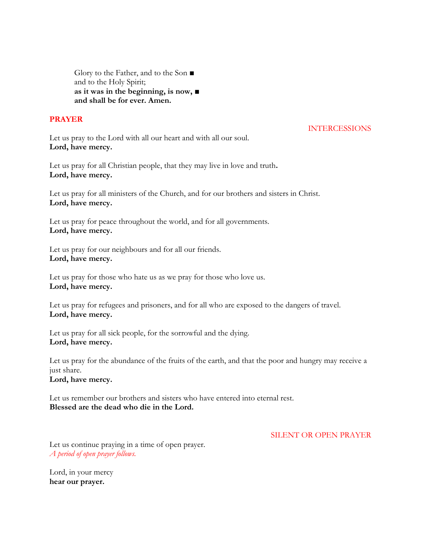Glory to the Father, and to the Son **■** and to the Holy Spirit; **as it was in the beginning, is now, ■ and shall be for ever. Amen.**

# **PRAYER**

## INTERCESSIONS

Let us pray to the Lord with all our heart and with all our soul. **Lord, have mercy.** 

Let us pray for all Christian people, that they may live in love and truth**. Lord, have mercy.** 

Let us pray for all ministers of the Church, and for our brothers and sisters in Christ. **Lord, have mercy.** 

Let us pray for peace throughout the world, and for all governments. **Lord, have mercy.** 

Let us pray for our neighbours and for all our friends. **Lord, have mercy.** 

Let us pray for those who hate us as we pray for those who love us. **Lord, have mercy.** 

Let us pray for refugees and prisoners, and for all who are exposed to the dangers of travel. **Lord, have mercy.** 

Let us pray for all sick people, for the sorrowful and the dying. **Lord, have mercy.** 

Let us pray for the abundance of the fruits of the earth, and that the poor and hungry may receive a just share.

**Lord, have mercy.** 

Let us remember our brothers and sisters who have entered into eternal rest. **Blessed are the dead who die in the Lord.** 

SILENT OR OPEN PRAYER

Let us continue praying in a time of open prayer. *A period of open prayer follows.* 

Lord, in your mercy **hear our prayer.**